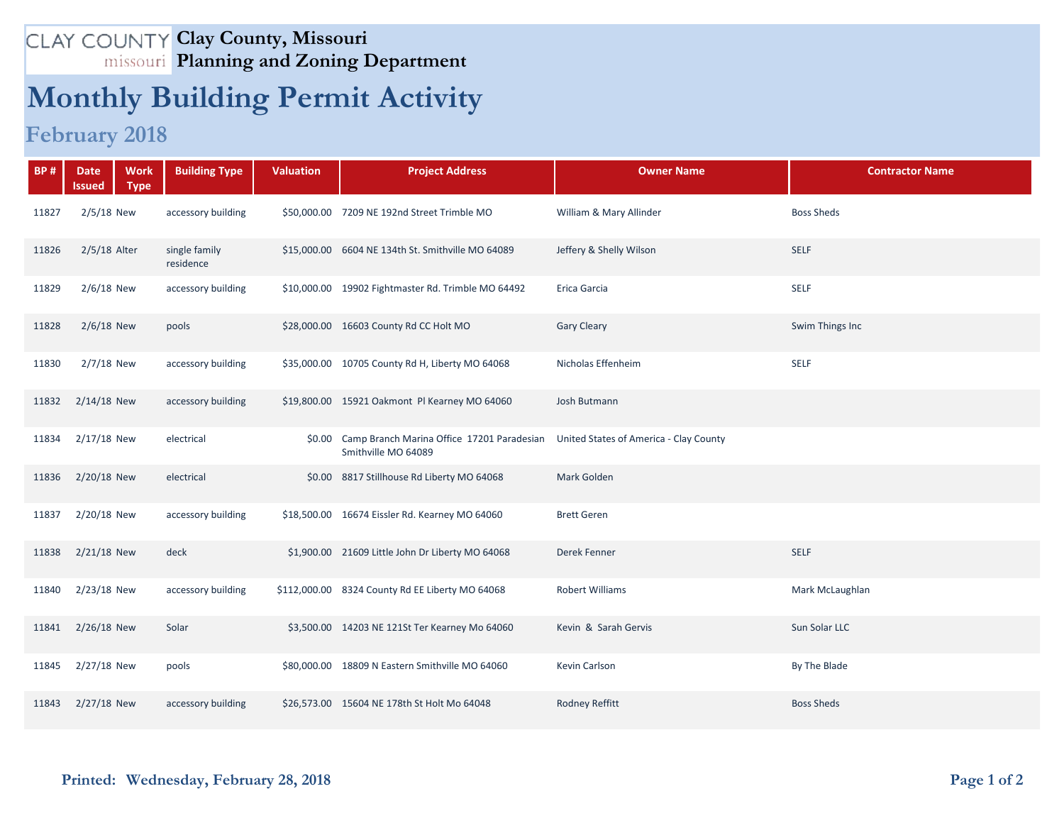## **Clay County, Missouri Planning and Zoning Department**

## **Monthly Building Permit Activity**

## **February 2018**

| <b>BP#</b> | <b>Work</b><br><b>Date</b><br><b>Type</b><br>Issued | <b>Building Type</b>       | <b>Valuation</b> | <b>Project Address</b>                                                   | <b>Owner Name</b>                      | <b>Contractor Name</b> |
|------------|-----------------------------------------------------|----------------------------|------------------|--------------------------------------------------------------------------|----------------------------------------|------------------------|
| 11827      | $2/5/18$ New                                        | accessory building         |                  | \$50,000.00 7209 NE 192nd Street Trimble MO                              | William & Mary Allinder                | <b>Boss Sheds</b>      |
| 11826      | 2/5/18 Alter                                        | single family<br>residence |                  | \$15,000.00 6604 NE 134th St. Smithville MO 64089                        | Jeffery & Shelly Wilson                | <b>SELF</b>            |
| 11829      | $2/6/18$ New                                        | accessory building         |                  | \$10,000.00 19902 Fightmaster Rd. Trimble MO 64492                       | Erica Garcia                           | <b>SELF</b>            |
| 11828      | $2/6/18$ New                                        | pools                      |                  | \$28,000.00 16603 County Rd CC Holt MO                                   | <b>Gary Cleary</b>                     | Swim Things Inc        |
| 11830      | $2/7/18$ New                                        | accessory building         |                  | \$35,000.00 10705 County Rd H, Liberty MO 64068                          | Nicholas Effenheim                     | <b>SELF</b>            |
| 11832      | $2/14/18$ New                                       | accessory building         |                  | \$19,800.00 15921 Oakmont Pl Kearney MO 64060                            | Josh Butmann                           |                        |
| 11834      | 2/17/18 New                                         | electrical                 |                  | \$0.00 Camp Branch Marina Office 17201 Paradesian<br>Smithville MO 64089 | United States of America - Clay County |                        |
| 11836      | 2/20/18 New                                         | electrical                 |                  | \$0.00 8817 Stillhouse Rd Liberty MO 64068                               | Mark Golden                            |                        |
| 11837      | 2/20/18 New                                         | accessory building         |                  | \$18,500.00 16674 Eissler Rd. Kearney MO 64060                           | <b>Brett Geren</b>                     |                        |
| 11838      | $2/21/18$ New                                       | deck                       |                  | \$1,900.00 21609 Little John Dr Liberty MO 64068                         | Derek Fenner                           | <b>SELF</b>            |
| 11840      | 2/23/18 New                                         | accessory building         |                  | \$112,000.00 8324 County Rd EE Liberty MO 64068                          | Robert Williams                        | Mark McLaughlan        |
| 11841      | 2/26/18 New                                         | Solar                      |                  | \$3,500.00 14203 NE 121St Ter Kearney Mo 64060                           | Kevin & Sarah Gervis                   | Sun Solar LLC          |
| 11845      | 2/27/18 New                                         | pools                      |                  | \$80,000.00 18809 N Eastern Smithville MO 64060                          | Kevin Carlson                          | By The Blade           |
| 11843      | 2/27/18 New                                         | accessory building         |                  | \$26,573.00 15604 NE 178th St Holt Mo 64048                              | <b>Rodney Reffitt</b>                  | <b>Boss Sheds</b>      |